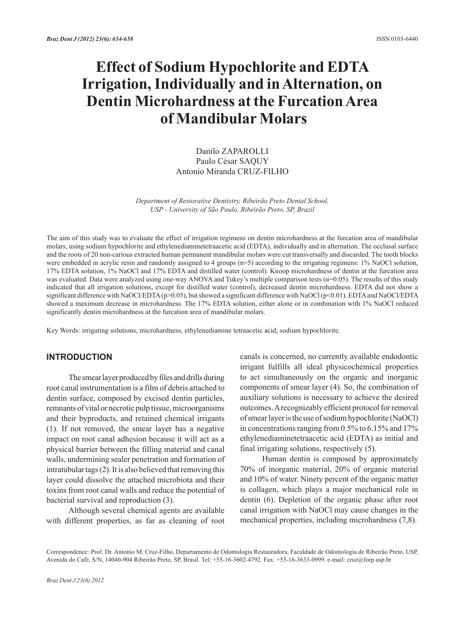# **Effect of Sodium Hypochlorite and EDTA Irrigation, Individually and in Alternation, on Dentin Microhardness at the Furcation Area of Mandibular Molars**

Danilo ZAPAROLLI Paulo César SAQUY Antonio Miranda CRUZ-FILHO

*Department of Restorative Dentistry, Ribeirão Preto Dental School, USP - University of São Paulo, Ribeirão Preto, SP, Brazil*

The aim of this study was to evaluate the effect of irrigation regimens on dentin microhardness at the furcation area of mandibular molars, using sodium hypochlorite and ethylenediaminetetraacetic acid (EDTA), individually and in alternation. The occlusal surface and the roots of 20 non-carious extracted human permanent mandibular molars were cut transversally and discarded. The tooth blocks were embedded in acrylic resin and randomly assigned to 4 groups (n=5) according to the irrigating regimens: 1% NaOCl solution, 17% EDTA solution, 1% NaOCl and 17% EDTA and distilled water (control). Knoop microhardness of dentin at the furcation area was evaluated. Data were analyzed using one-way ANOVA and Tukey's multiple comparison tests ( $\alpha$ =0.05). The results of this study indicated that all irrigation solutions, except for distilled water (control), decreased dentin microhardness. EDTA did not show a significant difference with NaOCl/EDTA (p>0.05), but showed a significant difference with NaOCl (p<0.01). EDTA and NaOCl/EDTA showed a maximum decrease in microhardness. The 17% EDTA solution, either alone or in combination with 1% NaOCl reduced significantly dentin microhardness at the furcation area of mandibular molars.

Key Words: irrigating solutions, microhardness, ethylenediamine tetraacetic acid, sodium hypochlorite.

## **INTRODUCTION**

The smear layer produced by files and drills during root canal instrumentation is a film of debris attached to dentin surface, composed by excised dentin particles, remnants of vital or necrotic pulp tissue, microorganisms and their byproducts, and retained chemical irrigants (1). If not removed, the smear layer has a negative impact on root canal adhesion because it will act as a physical barrier between the filling material and canal walls, undermining sealer penetration and formation of intratubular tags (2). It is also believed that removing this layer could dissolve the attached microbiota and their toxins from root canal walls and reduce the potential of bacterial survival and reproduction (3).

Although several chemical agents are available with different properties, as far as cleaning of root

canals is concerned, no currently available endodontic irrigant fulfills all ideal physicochemical properties to act simultaneously on the organic and inorganic components of smear layer (4). So, the combination of auxiliary solutions is necessary to achieve the desired outcomes. A recognizably efficient protocol for removal of smear layer is the use of sodium hypochlorite (NaOCl) in concentrations ranging from 0.5% to 6.15% and 17% ethylenediaminetetraacetic acid (EDTA) as initial and final irrigating solutions, respectively (5).

Human dentin is composed by approximately 70% of inorganic material, 20% of organic material and 10% of water. Ninety percent of the organic matter is collagen, which plays a major mechanical role in dentin (6). Depletion of the organic phase after root canal irrigation with NaOCl may cause changes in the mechanical properties, including microhardness (7,8).

Correspondence: Prof. Dr. Antonio M. Cruz-Filho, Departamento de Odontologia Restauradora, Faculdade de Odontologia de Ribeirão Preto, USP, Avenida do Café, S/N, 14040-904 Ribeirão Preto, SP, Brasil. Tel: +55-16-3602-4792. Fax: +55-16-3633-0999. e-mail: cruz@forp.usp.br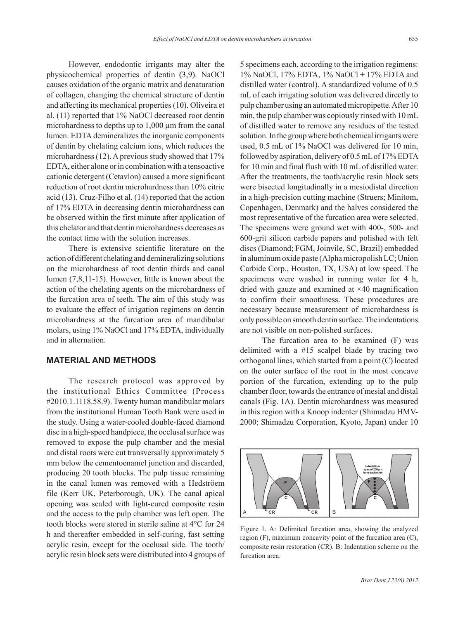However, endodontic irrigants may alter the physicochemical properties of dentin (3,9). NaOCl causes oxidation of the organic matrix and denaturation of collagen, changing the chemical structure of dentin and affecting its mechanical properties (10). Oliveira et al. (11) reported that 1% NaOCl decreased root dentin microhardness to depths up to 1,000  $\mu$ m from the canal lumen. EDTA demineralizes the inorganic components of dentin by chelating calcium ions, which reduces the microhardness (12). A previous study showed that 17% EDTA, either alone or in combination with a tensoactive cationic detergent (Cetavlon) caused a more significant reduction of root dentin microhardness than 10% citric acid (13). Cruz-Filho et al. (14) reported that the action of 17% EDTA in decreasing dentin microhardness can be observed within the first minute after application of this chelator and that dentin microhardness decreases as the contact time with the solution increases.

There is extensive scientific literature on the action of different chelating and demineralizing solutions on the microhardness of root dentin thirds and canal lumen (7,8,11-15). However, little is known about the action of the chelating agents on the microhardness of the furcation area of teeth. The aim of this study was to evaluate the effect of irrigation regimens on dentin microhardness at the furcation area of mandibular molars, using 1% NaOCl and 17% EDTA, individually and in alternation.

## **MATERIAL AND METHODS**

The research protocol was approved by the institutional Ethics Committee (Process #2010.1.1118.58.9). Twenty human mandibular molars from the institutional Human Tooth Bank were used in the study. Using a water-cooled double-faced diamond disc in a high-speed handpiece, the occlusal surface was removed to expose the pulp chamber and the mesial and distal roots were cut transversally approximately 5 mm below the cementoenamel junction and discarded, producing 20 tooth blocks. The pulp tissue remaining in the canal lumen was removed with a Hedströem file (Kerr UK, Peterborough, UK). The canal apical opening was sealed with light-cured composite resin and the access to the pulp chamber was left open. The tooth blocks were stored in sterile saline at 4°C for 24 h and thereafter embedded in self-curing, fast setting acrylic resin, except for the occlusal side. The tooth/ acrylic resin block sets were distributed into 4 groups of 5 specimens each, according to the irrigation regimens: 1% NaOCl, 17% EDTA, 1% NaOCl + 17% EDTA and distilled water (control). A standardized volume of 0.5 mL of each irrigating solution was delivered directly to pulp chamber using an automated micropipette. After 10 min, the pulp chamber was copiously rinsed with 10 mL of distilled water to remove any residues of the tested solution. In the group where both chemical irrigants were used, 0.5 mL of 1% NaOCl was delivered for 10 min, followed by aspiration, delivery of 0.5 mL of 17% EDTA for 10 min and final flush with 10 mL of distilled water. After the treatments, the tooth/acrylic resin block sets were bisected longitudinally in a mesiodistal direction in a high-precision cutting machine (Struers; Minitom, Copenhagen, Denmark) and the halves considered the most representative of the furcation area were selected. The specimens were ground wet with 400-, 500- and 600-grit silicon carbide papers and polished with felt discs (Diamond; FGM, Joinvile, SC, Brazil) embedded in aluminum oxide paste (Alpha micropolish LC; Union Carbide Corp., Houston, TX, USA) at low speed. The specimens were washed in running water for 4 h, dried with gauze and examined at ×40 magnification to confirm their smoothness. These procedures are necessary because measurement of microhardness is only possible on smooth dentin surface. The indentations are not visible on non-polished surfaces.

The furcation area to be examined (F) was delimited with a #15 scalpel blade by tracing two orthogonal lines, which started from a point (C) located on the outer surface of the root in the most concave portion of the furcation, extending up to the pulp chamber floor, towards the entrance of mesial and distal canals (Fig. 1A). Dentin microhardness was measured in this region with a Knoop indenter (Shimadzu HMV-2000; Shimadzu Corporation, Kyoto, Japan) under 10



Figure 1. A: Delimited furcation area, showing the analyzed region (F), maximum concavity point of the furcation area (C), composite resin restoration (CR). B: Indentation scheme on the furcation area.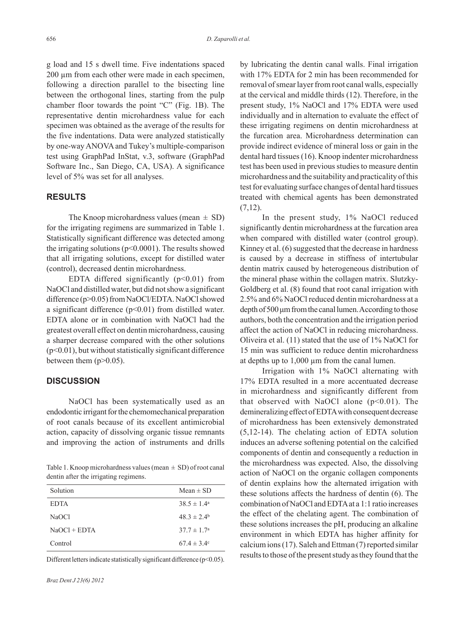g load and 15 s dwell time. Five indentations spaced 200 µm from each other were made in each specimen, following a direction parallel to the bisecting line between the orthogonal lines, starting from the pulp chamber floor towards the point "C" (Fig. 1B). The representative dentin microhardness value for each specimen was obtained as the average of the results for the five indentations. Data were analyzed statistically by one-way ANOVA and Tukey's multiple-comparison test using GraphPad InStat, v.3, software (GraphPad Software Inc., San Diego, CA, USA). A significance level of 5% was set for all analyses.

## **RESULTS**

The Knoop microhardness values (mean  $\pm$  SD) for the irrigating regimens are summarized in Table 1. Statistically significant difference was detected among the irrigating solutions ( $p<0.0001$ ). The results showed that all irrigating solutions, except for distilled water (control), decreased dentin microhardness.

EDTA differed significantly  $(p<0.01)$  from NaOCl and distilled water, but did not show a significant difference (p>0.05) from NaOCl/EDTA. NaOCl showed a significant difference  $(p<0.01)$  from distilled water. EDTA alone or in combination with NaOCl had the greatest overall effect on dentin microhardness, causing a sharper decrease compared with the other solutions (p<0.01), but without statistically significant difference between them  $(p>0.05)$ .

#### **DISCUSSION**

NaOCl has been systematically used as an endodontic irrigant for the chemomechanical preparation of root canals because of its excellent antimicrobial action, capacity of dissolving organic tissue remnants and improving the action of instruments and drills

Table 1. Knoop microhardness values (mean  $\pm$  SD) of root canal dentin after the irrigating regimens.

| Mean $\pm$ SD          |
|------------------------|
| $38.5 \pm 1.4^{\circ}$ |
| $48.3 \pm 2.4^{\circ}$ |
| $37.7 \pm 1.7^{\circ}$ |
| 67.4 $\pm$ 3.4°        |
|                        |

Different letters indicate statistically significant difference (p<0.05).

by lubricating the dentin canal walls. Final irrigation with 17% EDTA for 2 min has been recommended for removal of smear layer from root canal walls, especially at the cervical and middle thirds (12). Therefore, in the present study, 1% NaOCl and 17% EDTA were used individually and in alternation to evaluate the effect of these irrigating regimens on dentin microhardness at the furcation area. Microhardness determination can provide indirect evidence of mineral loss or gain in the dental hard tissues (16). Knoop indenter microhardness test has been used in previous studies to measure dentin microhardness and the suitability and practicality of this test for evaluating surface changes of dental hard tissues treated with chemical agents has been demonstrated  $(7,12)$ .

In the present study, 1% NaOCl reduced significantly dentin microhardness at the furcation area when compared with distilled water (control group). Kinney et al. (6) suggested that the decrease in hardness is caused by a decrease in stiffness of intertubular dentin matrix caused by heterogeneous distribution of the mineral phase within the collagen matrix. Slutzky-Goldberg et al. (8) found that root canal irrigation with 2.5% and 6% NaOCl reduced dentin microhardness at a depth of 500 μm from the canal lumen. According to those authors, both the concentration and the irrigation period affect the action of NaOCl in reducing microhardness. Oliveira et al. (11) stated that the use of 1% NaOCl for 15 min was sufficient to reduce dentin microhardness at depths up to 1,000 µm from the canal lumen.

Irrigation with 1% NaOCl alternating with 17% EDTA resulted in a more accentuated decrease in microhardness and significantly different from that observed with NaOCl alone  $(p<0.01)$ . The demineralizing effect of EDTA with consequent decrease of microhardness has been extensively demonstrated (5,12-14). The chelating action of EDTA solution induces an adverse softening potential on the calcified components of dentin and consequently a reduction in the microhardness was expected. Also, the dissolving action of NaOCl on the organic collagen components of dentin explains how the alternated irrigation with these solutions affects the hardness of dentin (6). The combination of NaOCl and EDTA at a 1:1 ratio increases the effect of the chelating agent. The combination of these solutions increases the pH, producing an alkaline environment in which EDTA has higher affinity for calcium ions (17). Saleh and Ettman (7) reported similar results to those of the present study as they found that the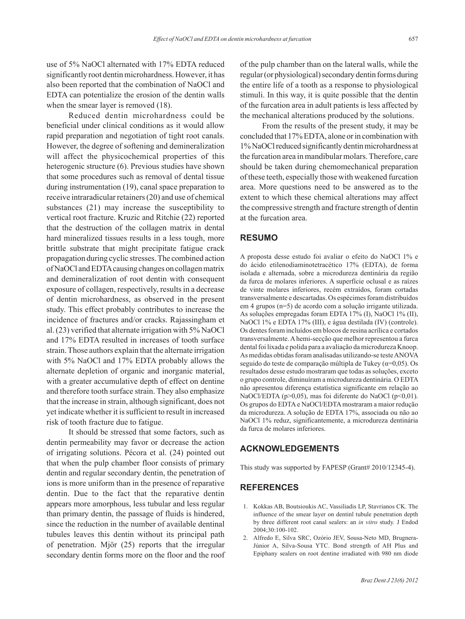use of 5% NaOCl alternated with 17% EDTA reduced

significantly root dentin microhardness. However, it has also been reported that the combination of NaOCl and EDTA can potentialize the erosion of the dentin walls when the smear layer is removed (18).

Reduced dentin microhardness could be beneficial under clinical conditions as it would allow rapid preparation and negotiation of tight root canals. However, the degree of softening and demineralization will affect the physicochemical properties of this heterogenic structure (6). Previous studies have shown that some procedures such as removal of dental tissue during instrumentation (19), canal space preparation to receive intraradicular retainers (20) and use of chemical substances (21) may increase the susceptibility to vertical root fracture. Kruzic and Ritchie (22) reported that the destruction of the collagen matrix in dental hard mineralized tissues results in a less tough, more brittle substrate that might precipitate fatigue crack propagation during cyclic stresses. The combined action of NaOCl and EDTA causing changes on collagen matrix and demineralization of root dentin with consequent exposure of collagen, respectively, results in a decrease of dentin microhardness, as observed in the present study. This effect probably contributes to increase the incidence of fractures and/or cracks. Rajassingham et al. (23) verified that alternate irrigation with 5% NaOCl and 17% EDTA resulted in increases of tooth surface strain. Those authors explain that the alternate irrigation with 5% NaOCl and 17% EDTA probably allows the alternate depletion of organic and inorganic material, with a greater accumulative depth of effect on dentine and therefore tooth surface strain. They also emphasize that the increase in strain, although significant, does not yet indicate whether it is sufficient to result in increased risk of tooth fracture due to fatigue.

It should be stressed that some factors, such as dentin permeability may favor or decrease the action of irrigating solutions. Pécora et al. (24) pointed out that when the pulp chamber floor consists of primary dentin and regular secondary dentin, the penetration of ions is more uniform than in the presence of reparative dentin. Due to the fact that the reparative dentin appears more amorphous, less tubular and less regular than primary dentin, the passage of fluids is hindered, since the reduction in the number of available dentinal tubules leaves this dentin without its principal path of penetration. Mjör (25) reports that the irregular secondary dentin forms more on the floor and the roof of the pulp chamber than on the lateral walls, while the regular (or physiological) secondary dentin forms during the entire life of a tooth as a response to physiological stimuli. In this way, it is quite possible that the dentin of the furcation area in adult patients is less affected by the mechanical alterations produced by the solutions.

From the results of the present study, it may be concluded that 17% EDTA, alone or in combination with 1% NaOCl reduced significantly dentin microhardness at the furcation area in mandibular molars. Therefore, care should be taken during chemomechanical preparation of these teeth, especially those with weakened furcation area. More questions need to be answered as to the extent to which these chemical alterations may affect the compressive strength and fracture strength of dentin at the furcation area.

## **RESUMO**

A proposta desse estudo foi avaliar o efeito do NaOCl 1% e do ácido etilenodiaminotetracético 17% (EDTA), de forma isolada e alternada, sobre a microdureza dentinária da região da furca de molares inferiores. A superfície oclusal e as raízes de vinte molares inferiores, recém extraídos, foram cortadas transversalmente e descartadas. Os espécimes foram distribuídos em 4 grupos (n=5) de acordo com a solução irrigante utilizada. As soluções empregadas foram EDTA 17% (I), NaOCl 1% (II), NaOCl 1% e EDTA 17% (III), e água destilada (IV) (controle). Os dentes foram incluídos em blocos de resina acrílica e cortados transversalmente. A hemi-secção que melhor representou a furca dental foi lixada e polida para a avaliação da microdureza Knoop. As medidas obtidas foram analisadas utilizando-se teste ANOVA seguido do teste de comparação múltipla de Tukey (α=0,05). Os resultados desse estudo mostraram que todas as soluções, exceto o grupo controle, diminuíram a microdureza dentinária. O EDTA não apresentou diferença estatística significante em relação ao NaOCl/EDTA (p>0,05), mas foi diferente do NaOCl (p<0,01). Os grupos do EDTA e NaOCl/EDTA mostraram a maior redução da microdureza. A solução de EDTA 17%, associada ou não ao NaOCl 1% reduz, significantemente, a microdureza dentinária da furca de molares inferiores.

# **ACKNOWLEDGEMENTS**

This study was supported by FAPESP (Grant# 2010/12345-4).

## **REFERENCES**

- 1. Kokkas AB, Boutsioukis AC, Vassiliadis LP, Stavrianos CK. The influence of the smear layer on dentinl tubule penetration depth by three different root canal sealers: an *in vitro* study. J Endod 2004;30:100-102.
- 2. Alfredo E, Silva SRC, Ozório JEV, Sousa-Neto MD, Brugnera-Júnior A, Silva-Sousa YTC. Bond strength of AH Plus and Epiphany sealers on root dentine irradiated with 980 nm diode